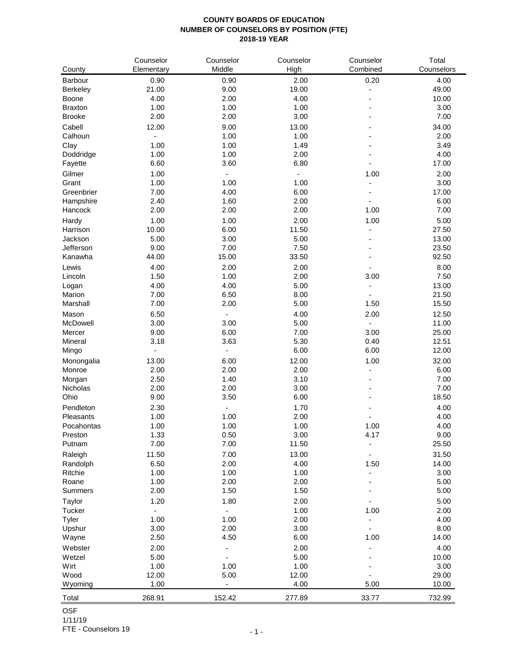## **COUNTY BOARDS OF EDUCATION NUMBER OF COUNSELORS BY POSITION (FTE) 2018-19 YEAR**

|                   | Counselor      | Counselor                | Counselor    | Counselor      | Total         |
|-------------------|----------------|--------------------------|--------------|----------------|---------------|
| County            | Elementary     | Middle                   | High         | Combined       | Counselors    |
| Barbour           | 0.90           | 0.90                     | 2.00         | 0.20           | 4.00          |
| Berkeley          | 21.00          | 9.00                     | 19.00        |                | 49.00         |
| Boone             | 4.00           | 2.00                     | 4.00         | ۰              | 10.00         |
| <b>Braxton</b>    | 1.00           | 1.00                     | 1.00         |                | 3.00          |
| <b>Brooke</b>     | 2.00           | 2.00                     | 3.00         |                | 7.00          |
| Cabell            | 12.00          | 9.00                     | 13.00        |                | 34.00         |
| Calhoun           | $\overline{a}$ | 1.00                     | 1.00         |                | 2.00          |
| Clay<br>Doddridge | 1.00<br>1.00   | 1.00<br>1.00             | 1.49<br>2.00 |                | 3.49<br>4.00  |
| Fayette           | 6.60           | 3.60                     | 6.80         |                | 17.00         |
| Gilmer            | 1.00           | $\overline{\phantom{a}}$ |              | 1.00           | 2.00          |
| Grant             | 1.00           | 1.00                     | 1.00         |                | 3.00          |
| Greenbrier        | 7.00           | 4.00                     | 6.00         |                | 17.00         |
| Hampshire         | 2.40           | 1.60                     | 2.00         |                | 6.00          |
| Hancock           | 2.00           | 2.00                     | 2.00         | 1.00           | 7.00          |
| Hardy             | 1.00           | 1.00                     | 2.00         | 1.00           | 5.00          |
| Harrison          | 10.00          | 6.00                     | 11.50        | ÷,             | 27.50         |
| Jackson           | 5.00           | 3.00                     | 5.00         |                | 13.00         |
| Jefferson         | 9.00           | 7.00                     | 7.50         | $\overline{a}$ | 23.50         |
| Kanawha           | 44.00          | 15.00                    | 33.50        | $\overline{a}$ | 92.50         |
| Lewis             | 4.00           | 2.00                     | 2.00         |                | 8.00          |
| Lincoln           | 1.50           | 1.00                     | 2.00         | 3.00           | 7.50          |
| Logan             | 4.00           | 4.00                     | 5.00         | $\blacksquare$ | 13.00         |
| Marion            | 7.00           | 6.50                     | 8.00         |                | 21.50         |
| Marshall          | 7.00           | 2.00                     | 5.00         | 1.50           | 15.50         |
| Mason             | 6.50           |                          | 4.00         | 2.00           | 12.50         |
| McDowell          | 3.00           | 3.00                     | 5.00         |                | 11.00         |
| Mercer            | 9.00           | 6.00                     | 7.00         | 3.00           | 25.00         |
| Mineral           | 3.18           | 3.63                     | 5.30         | 0.40           | 12.51         |
| Mingo             |                | $\overline{\phantom{a}}$ | 6.00         | 6.00           | 12.00         |
| Monongalia        | 13.00          | 6.00                     | 12.00        | 1.00           | 32.00         |
| Monroe            | 2.00           | 2.00                     | 2.00         |                | 6.00          |
| Morgan            | 2.50           | 1.40                     | 3.10         |                | 7.00          |
| Nicholas          | 2.00           | 2.00                     | 3.00         |                | 7.00          |
| Ohio              | 9.00           | 3.50                     | 6.00         |                | 18.50         |
| Pendleton         | 2.30           | $\overline{a}$           | 1.70         |                | 4.00          |
| Pleasants         | 1.00           | 1.00                     | 2.00         |                | 4.00          |
| Pocahontas        | 1.00           | 1.00                     | 1.00         | 1.00           | 4.00          |
| Preston           | 1.33           | 0.50                     | 3.00         | 4.17           | 9.00          |
| Putnam            | 7.00           | 7.00                     | 11.50        | $\overline{a}$ | 25.50         |
| Raleigh           | 11.50          | 7.00                     | 13.00        |                | 31.50         |
| Randolph          | 6.50           | 2.00                     | 4.00         | 1.50           | 14.00         |
| Ritchie           | 1.00           | 1.00                     | 1.00         |                | 3.00          |
| Roane             | 1.00           | 2.00                     | 2.00         |                | 5.00          |
| <b>Summers</b>    | 2.00           | 1.50                     | 1.50         |                | 5.00          |
| Taylor            | 1.20           | 1.80                     | 2.00         |                | 5.00          |
| Tucker            | -              | $\overline{\phantom{a}}$ | 1.00         | 1.00           | 2.00          |
| Tyler             | 1.00           | 1.00                     | 2.00         |                | 4.00          |
| Upshur            | 3.00           | 2.00                     | 3.00         | 1.00           | 8.00          |
| Wayne             | 2.50           | 4.50                     | 6.00         |                | 14.00         |
| Webster           | 2.00<br>5.00   |                          | 2.00<br>5.00 |                | 4.00          |
| Wetzel<br>Wirt    | 1.00           | 1.00                     | 1.00         |                | 10.00<br>3.00 |
| Wood              | 12.00          | 5.00                     | 12.00        |                | 29.00         |
| Wyoming           | 1.00           | $\blacksquare$           | 4.00         | 5.00           | 10.00         |
|                   |                |                          |              |                |               |
| Total             | 268.91         | 152.42                   | 277.89       | 33.77          | 732.99        |

OSF

1/11/19 FTE - Counselors 19  $-1 -$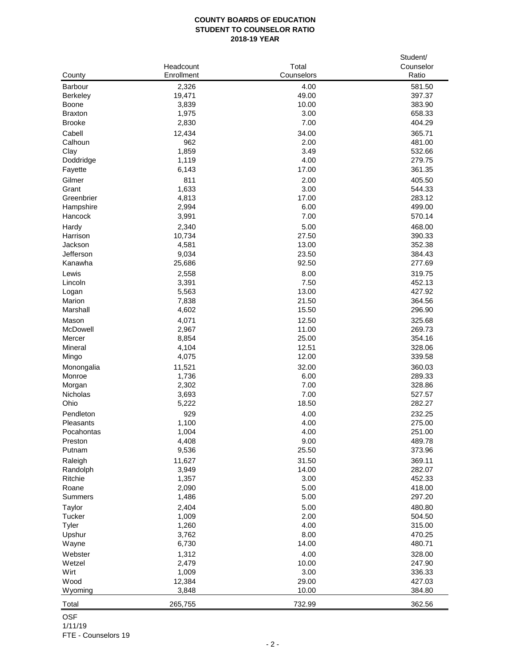## **COUNTY BOARDS OF EDUCATION STUDENT TO COUNSELOR RATIO 2018-19 YEAR**

|                   | Headcount      | Total         | Student/<br>Counselor |
|-------------------|----------------|---------------|-----------------------|
| County            | Enrollment     | Counselors    | Ratio                 |
| Barbour           | 2,326          | 4.00          | 581.50                |
| <b>Berkeley</b>   | 19,471         | 49.00         | 397.37                |
| <b>Boone</b>      | 3,839          | 10.00         | 383.90                |
| <b>Braxton</b>    | 1,975          | 3.00          | 658.33                |
| <b>Brooke</b>     | 2,830          | 7.00          | 404.29                |
| Cabell            | 12,434         | 34.00         | 365.71                |
| Calhoun           | 962            | 2.00          | 481.00                |
| Clay              | 1,859          | 3.49          | 532.66                |
| Doddridge         | 1,119          | 4.00          | 279.75                |
| Fayette           | 6,143          | 17.00         | 361.35                |
| Gilmer            | 811            | 2.00          | 405.50                |
| Grant             | 1,633          | 3.00          | 544.33                |
| Greenbrier        | 4,813          | 17.00         | 283.12                |
| Hampshire         | 2,994          | 6.00          | 499.00                |
| Hancock           | 3,991          | 7.00          | 570.14                |
| Hardy             | 2,340          | 5.00          | 468.00                |
| Harrison          | 10,734         | 27.50         | 390.33                |
| Jackson           | 4,581          | 13.00         | 352.38                |
| Jefferson         | 9,034          | 23.50         | 384.43                |
| Kanawha           | 25,686         | 92.50         | 277.69                |
| Lewis             | 2,558          | 8.00          | 319.75                |
| Lincoln           | 3,391          | 7.50          | 452.13                |
| Logan             | 5,563          | 13.00         | 427.92                |
| Marion            | 7,838          | 21.50         | 364.56                |
| Marshall          | 4,602          | 15.50         | 296.90                |
| Mason             | 4,071          | 12.50         | 325.68                |
| McDowell          | 2,967          | 11.00         | 269.73                |
| Mercer            | 8,854          | 25.00         | 354.16                |
| Mineral           | 4,104          | 12.51         | 328.06                |
| Mingo             | 4,075          | 12.00         | 339.58                |
| Monongalia        | 11,521         | 32.00         | 360.03                |
| Monroe            | 1,736          | 6.00          | 289.33                |
| Morgan            | 2,302          | 7.00          | 328.86                |
| Nicholas<br>Ohio  | 3,693<br>5,222 | 7.00<br>18.50 | 527.57<br>282.27      |
|                   |                |               |                       |
| Pendleton         | 929            | 4.00          | 232.25<br>275.00      |
| Pleasants         | 1,100          | 4.00          |                       |
| Pocahontas        | 1,004<br>4,408 | 4.00<br>9.00  | 251.00<br>489.78      |
| Preston<br>Putnam | 9,536          | 25.50         | 373.96                |
|                   |                |               |                       |
| Raleigh           | 11,627         | 31.50         | 369.11<br>282.07      |
| Randolph          | 3,949<br>1,357 | 14.00<br>3.00 |                       |
| Ritchie<br>Roane  | 2,090          | 5.00          | 452.33<br>418.00      |
| <b>Summers</b>    | 1,486          | 5.00          | 297.20                |
|                   |                |               |                       |
| Taylor<br>Tucker  | 2,404          | 5.00<br>2.00  | 480.80<br>504.50      |
|                   | 1,009          | 4.00          | 315.00                |
| Tyler<br>Upshur   | 1,260<br>3,762 | 8.00          | 470.25                |
| Wayne             | 6,730          | 14.00         | 480.71                |
|                   |                |               |                       |
| Webster<br>Wetzel | 1,312<br>2,479 | 4.00<br>10.00 | 328.00<br>247.90      |
| Wirt              | 1,009          | 3.00          | 336.33                |
| Wood              | 12,384         | 29.00         | 427.03                |
| Wyoming           | 3,848          | 10.00         | 384.80                |
|                   |                |               |                       |
| Total             | 265,755        | 732.99        | 362.56                |

OSF 1/11/19

FTE - Counselors 19